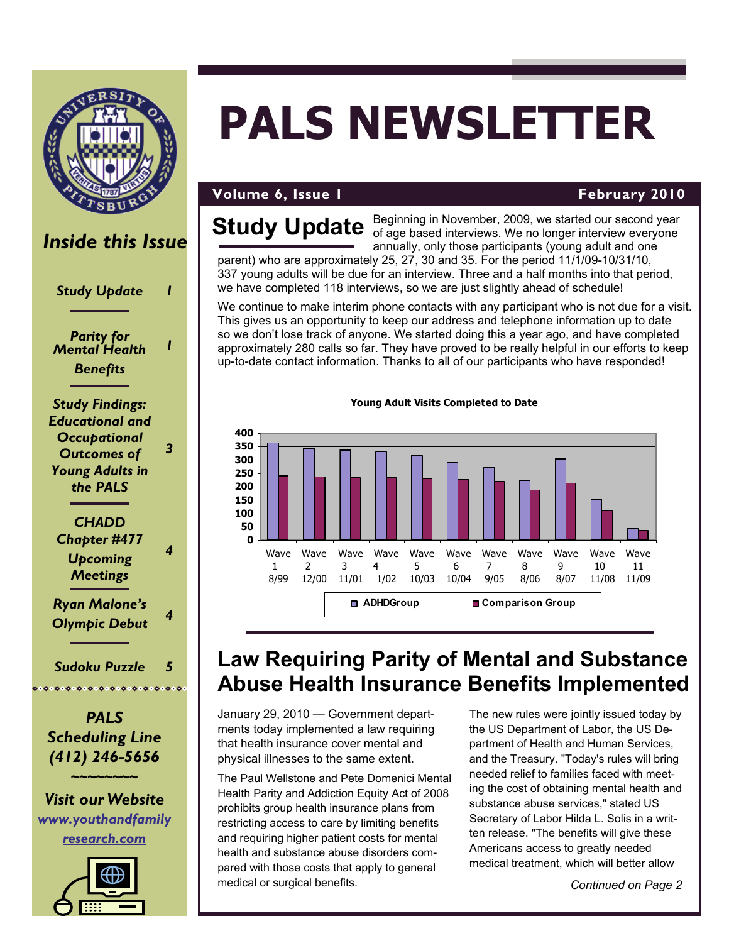

### *Inside this Issue*

*Study Update 1* 

*Parity for Mental Health Benefits* 

*1* 

*3* 

*Study Findings: Educational and Occupational Outcomes of Young Adults in the PALS* 

*CHADD Chapter #477 Upcoming Meetings 4 Ryan Malone's Olympic Debut <sup>4</sup>*

*Sudoku Puzzle 5*  

*PALS Scheduling Line (412) 246-5656* 

**~~~~~~~~**

*Visit our Website [www.youthandfamily](http://www.youthandfamilyresearch.com) [research.com](http://www.youthandfamilyresearch.com)*



# **PALS NEWSLETTER**

### **Volume 6, Issue 1 And Access 2010 February 2010**

## **Study Update**

Beginning in November, 2009, we started our second year of age based interviews. We no longer interview everyone annually, only those participants (young adult and one

parent) who are approximately 25, 27, 30 and 35. For the period 11/1/09-10/31/10, 337 young adults will be due for an interview. Three and a half months into that period, we have completed 118 interviews, so we are just slightly ahead of schedule!

We continue to make interim phone contacts with any participant who is not due for a visit. This gives us an opportunity to keep our address and telephone information up to date so we don't lose track of anyone. We started doing this a year ago, and have completed approximately 280 calls so far. They have proved to be really helpful in our efforts to keep up-to-date contact information. Thanks to all of our participants who have responded!



#### **Young Adult Visits Completed to Date**

## **Law Requiring Parity of Mental and Substance Abuse Health Insurance Benefits Implemented**

January 29, 2010 — Government departments today implemented a law requiring that health insurance cover mental and physical illnesses to the same extent.

The Paul Wellstone and Pete Domenici Mental Health Parity and Addiction Equity Act of 2008 prohibits group health insurance plans from restricting access to care by limiting benefits and requiring higher patient costs for mental health and substance abuse disorders compared with those costs that apply to general medical or surgical benefits.

The new rules were jointly issued today by the US Department of Labor, the US Department of Health and Human Services, and the Treasury. "Today's rules will bring needed relief to families faced with meeting the cost of obtaining mental health and substance abuse services," stated US Secretary of Labor Hilda L. Solis in a written release. "The benefits will give these Americans access to greatly needed medical treatment, which will better allow

*Continued on Page 2*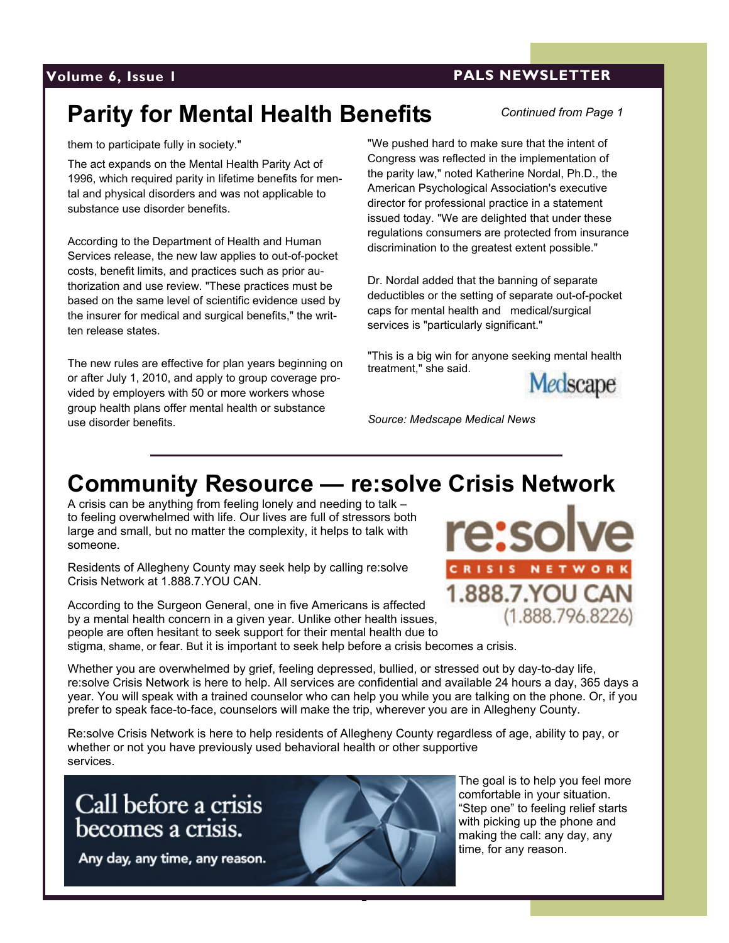### <span id="page-1-0"></span>**Volume 6, Issue 1 PALS NEWSLETTER**

*Continued from Page 1*

## **Parity for Mental Health Benefits**

them to participate fully in society."

The act expands on the Mental Health Parity Act of 1996, which required parity in lifetime benefits for mental and physical disorders and was not applicable to substance use disorder benefits.

According to the Department of Health and Human Services release, the new law applies to out-of-pocket costs, benefit limits, and practices such as prior authorization and use review. "These practices must be based on the same level of scientific evidence used by the insurer for medical and surgical benefits," the written release states.

The new rules are effective for plan years beginning on or after July 1, 2010, and apply to group coverage provided by employers with 50 or more workers whose group health plans offer mental health or substance use disorder benefits.

"We pushed hard to make sure that the intent of Congress was reflected in the implementation of the parity law," noted Katherine Nordal, Ph.D., the American Psychological Association's executive director for professional practice in a statement issued today. "We are delighted that under these regulations consumers are protected from insurance discrimination to the greatest extent possible."

Dr. Nordal added that the banning of separate deductibles or the setting of separate out-of-pocket caps for mental health and medical/surgical services is "particularly significant."

"This is a big win for anyone seeking mental health treatment," she said.



*Source: Medscape Medical News* 

## **Community Resource — re:solve Crisis Network**

A crisis can be anything from feeling lonely and needing to talk – to feeling overwhelmed with life. Our lives are full of stressors both large and small, but no matter the complexity, it helps to talk with someone.

Residents of Allegheny County may seek help by calling re:solve Crisis Network at 1.888.7.YOU CAN.

According to the Surgeon General, one in five Americans is affected by a mental health concern in a given year. Unlike other health issues, people are often hesitant to seek support for their mental health due to stigma, shame, or fear. But it is important to seek help before a crisis becomes a crisis.



Whether you are overwhelmed by grief, feeling depressed, bullied, or stressed out by day-to-day life, re:solve Crisis Network is here to help. All services are confidential and available 24 hours a day, 365 days a year. You will speak with a trained counselor who can help you while you are talking on the phone. Or, if you prefer to speak face-to-face, counselors will make the trip, wherever you are in Allegheny County.

Re:solve Crisis Network is here to help residents of Allegheny County regardless of age, ability to pay, or whether or not you have previously used behavioral health or other supportive services.

Call before a crisis becomes a crisis.

Any day, any time, any reason.



2

The goal is to help you feel more comfortable in your situation. "Step one" to feeling relief starts with picking up the phone and making the call: any day, any time, for any reason.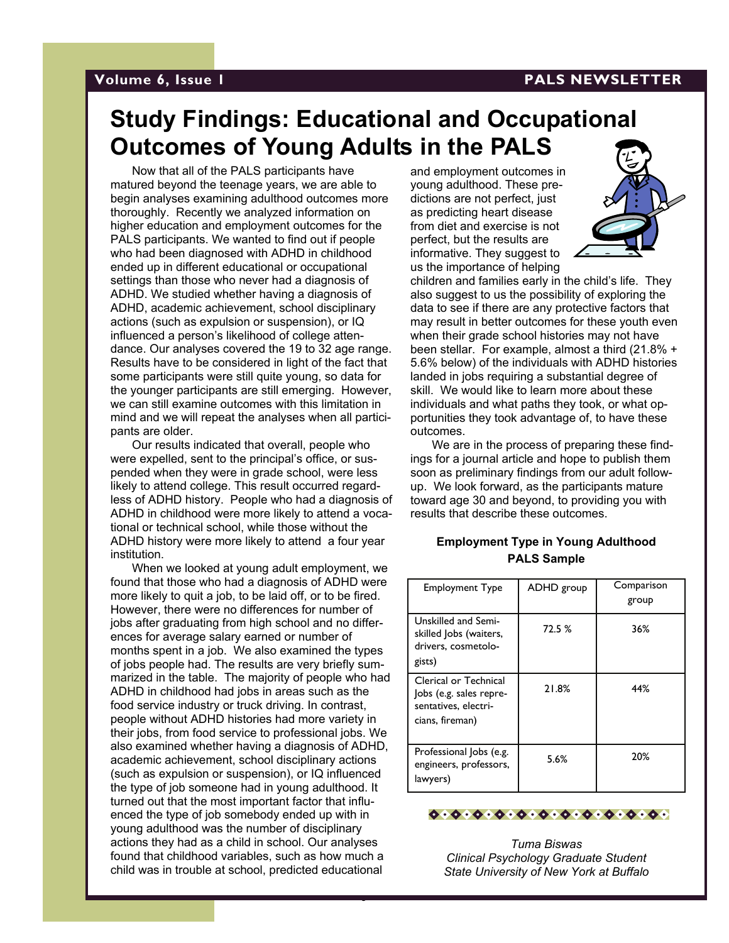#### **Volume 6, Issue 1 PALS NEWSLETTER**

### **Study Findings: Educational and Occupational Outcomes of Young Adults in the PALS**

Now that all of the PALS participants have matured beyond the teenage years, we are able to begin analyses examining adulthood outcomes more thoroughly. Recently we analyzed information on higher education and employment outcomes for the PALS participants. We wanted to find out if people who had been diagnosed with ADHD in childhood ended up in different educational or occupational settings than those who never had a diagnosis of ADHD. We studied whether having a diagnosis of ADHD, academic achievement, school disciplinary actions (such as expulsion or suspension), or IQ influenced a person's likelihood of college attendance. Our analyses covered the 19 to 32 age range. Results have to be considered in light of the fact that some participants were still quite young, so data for the younger participants are still emerging. However, we can still examine outcomes with this limitation in mind and we will repeat the analyses when all participants are older.

Our results indicated that overall, people who were expelled, sent to the principal's office, or suspended when they were in grade school, were less likely to attend college. This result occurred regardless of ADHD history. People who had a diagnosis of ADHD in childhood were more likely to attend a vocational or technical school, while those without the ADHD history were more likely to attend a four year institution.

When we looked at young adult employment, we found that those who had a diagnosis of ADHD were more likely to quit a job, to be laid off, or to be fired. However, there were no differences for number of jobs after graduating from high school and no differences for average salary earned or number of months spent in a job. We also examined the types of jobs people had. The results are very briefly summarized in the table. The majority of people who had ADHD in childhood had jobs in areas such as the food service industry or truck driving. In contrast, people without ADHD histories had more variety in their jobs, from food service to professional jobs. We also examined whether having a diagnosis of ADHD, academic achievement, school disciplinary actions (such as expulsion or suspension), or IQ influenced the type of job someone had in young adulthood. It turned out that the most important factor that influenced the type of job somebody ended up with in young adulthood was the number of disciplinary actions they had as a child in school. Our analyses found that childhood variables, such as how much a child was in trouble at school, predicted educational

3

and employment outcomes in young adulthood. These predictions are not perfect, just as predicting heart disease from diet and exercise is not perfect, but the results are informative. They suggest to us the importance of helping



children and families early in the child's life. They also suggest to us the possibility of exploring the data to see if there are any protective factors that may result in better outcomes for these youth even when their grade school histories may not have been stellar. For example, almost a third (21.8% + 5.6% below) of the individuals with ADHD histories landed in jobs requiring a substantial degree of skill. We would like to learn more about these individuals and what paths they took, or what opportunities they took advantage of, to have these outcomes.

We are in the process of preparing these findings for a journal article and hope to publish them soon as preliminary findings from our adult followup. We look forward, as the participants mature toward age 30 and beyond, to providing you with results that describe these outcomes.

#### **Employment Type in Young Adulthood PALS Sample**

| <b>Employment Type</b>                                                                      | ADHD group | Comparison<br>group |
|---------------------------------------------------------------------------------------------|------------|---------------------|
| Unskilled and Semi-<br>skilled Jobs (waiters,<br>drivers, cosmetolo-<br>gists)              | 72.5 %     | 36%                 |
| Clerical or Technical<br>Jobs (e.g. sales repre-<br>sentatives, electri-<br>cians, fireman) | 21.8%      | 44%                 |
| Professional Jobs (e.g.<br>engineers, professors,<br>lawyers)                               | 5.6%       | 20%                 |



*Tuma Biswas Clinical Psychology Graduate Student State University of New York at Buffalo*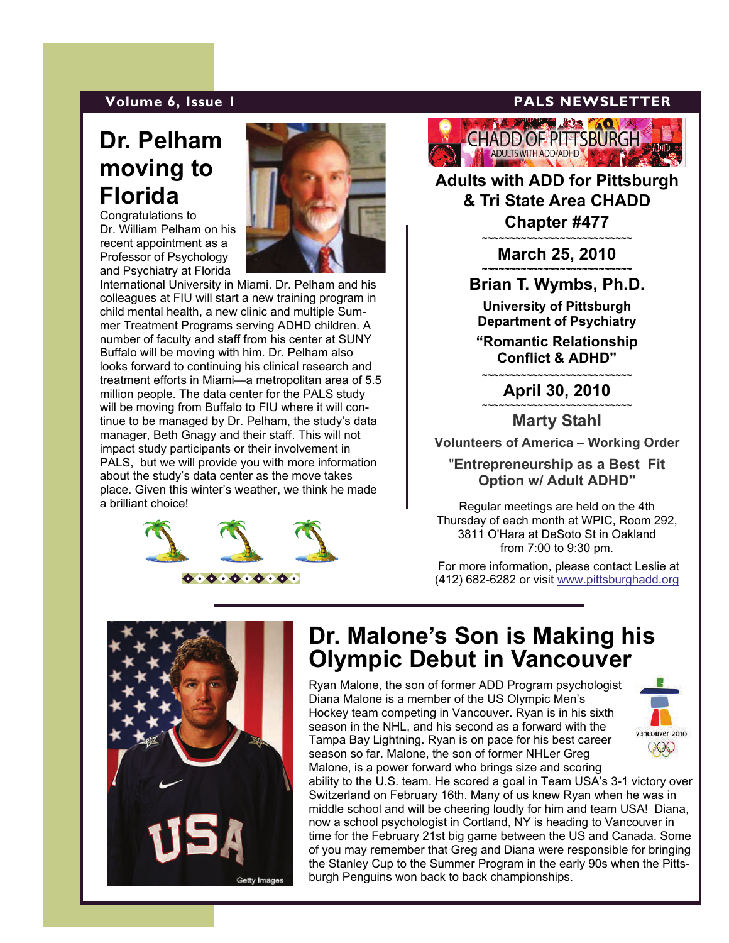## **Dr. Pelham moving to Florida**

Congratulations to Dr. William Pelham on his recent appointment as a Professor of Psychology and Psychiatry at Florida



International University in Miami. Dr. Pelham and his colleagues at FIU will start a new training program in child mental health, a new clinic and multiple Summer Treatment Programs serving ADHD children. A number of faculty and staff from his center at SUNY Buffalo will be moving with him. Dr. Pelham also looks forward to continuing his clinical research and treatment efforts in Miami—a metropolitan area of 5.5 million people. The data center for the PALS study will be moving from Buffalo to FIU where it will continue to be managed by Dr. Pelham, the study's data manager, Beth Gnagy and their staff. This will not impact study participants or their involvement in PALS, but we will provide you with more information about the study's data center as the move takes place. Given this winter's weather, we think he made a brilliant choice!



### **Volume 6, Issue 1 PALS NEWSLETTER**

**ANSWERS MADY** HADD OF PITTSBURGH ADULTS WITH ADD/ADHD

**Adults with ADD for Pittsburgh & Tri State Area CHADD Chapter #477 ~~~~~~~~~~~~~~~~~~~~~~~~~~~** 

**March 25, 2010** 

**Brian T. Wymbs, Ph.D. University of Pittsburgh** 

**Department of Psychiatry** 

**"Romantic Relationship Conflict & ADHD"** 

**~~~~~~~~~~~~~~~~~~~~~~~~~~~ April 30, 2010 ~~~~~~~~~~~~~~~~~~~~~~~~~~~**

**Marty Stahl** 

**Volunteers of America – Working Order**

"**Entrepreneurship as a Best Fit Option w/ Adult ADHD"** 

Regular meetings are held on the 4th Thursday of each month at WPIC, Room 292, 3811 O'Hara at DeSoto St in Oakland from 7:00 to 9:30 pm.

 For more information, please contact Leslie at (412) 682-6282 or visit [www.pittsburghadd.org](#page-1-0)



### **Dr. Malone's Son is Making his Olympic Debut in Vancouver**

Ryan Malone, the son of former ADD Program psychologist Diana Malone is a member of the US Olympic Men's Hockey team competing in Vancouver. Ryan is in his sixth season in the NHL, and his second as a forward with the Tampa Bay Lightning. Ryan is on pace for his best career season so far. Malone, the son of former NHLer Greg Malone, is a power forward who brings size and scoring

4



ability to the U.S. team. He scored a goal in Team USA's 3-1 victory over Switzerland on February 16th. Many of us knew Ryan when he was in middle school and will be cheering loudly for him and team USA! Diana, now a school psychologist in Cortland, NY is heading to Vancouver in time for the February 21st big game between the US and Canada. Some of you may remember that Greg and Diana were responsible for bringing the Stanley Cup to the Summer Program in the early 90s when the Pittsburgh Penguins won back to back championships.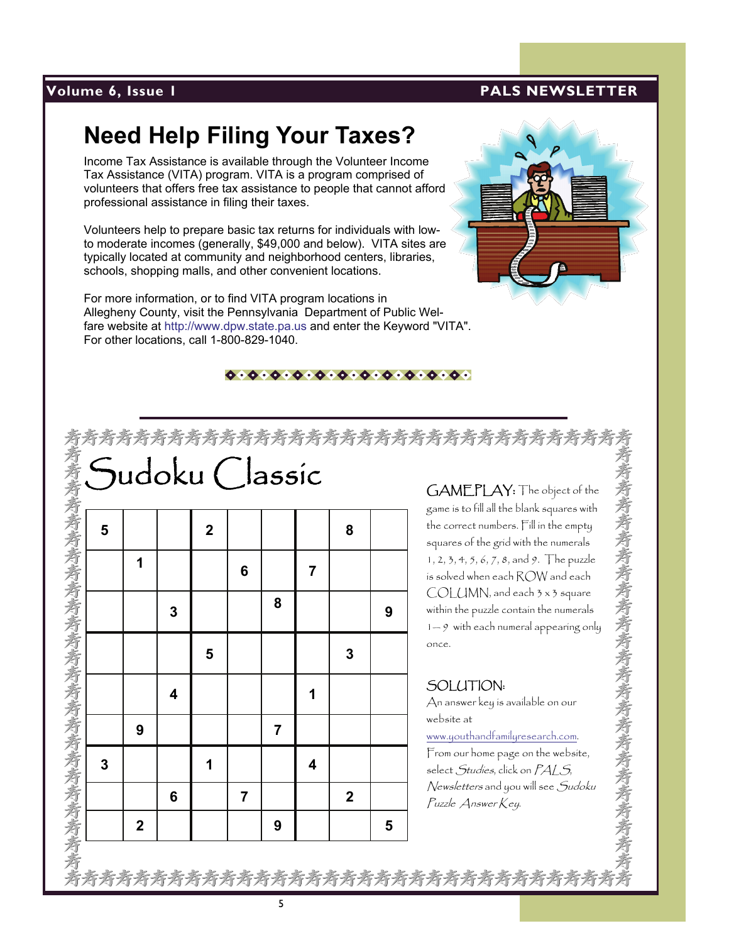### **Volume 6, Issue 1 PALS NEWSLETTER**

## **Need Help Filing Your Taxes?**

Income Tax Assistance is available through the Volunteer Income Tax Assistance (VITA) program. VITA is a program comprised of volunteers that offers free tax assistance to people that cannot afford professional assistance in filing their taxes.

Volunteers help to prepare basic tax returns for individuals with lowto moderate incomes (generally, \$49,000 and below). VITA sites are typically located at community and neighborhood centers, libraries, schools, shopping malls, and other convenient locations.

For more information, or to find VITA program locations in Allegheny County, visit the Pennsylvania Department of Public Welfare website at http://www.dpw.state.pa.us and enter the Keyword "VITA". For other locations, call 1-800-829-1040.



#### 

|  |  |  |  |  |  | <b>Associate Characteristics</b><br><br>The properties to fill all the blank segue ce with<br>seame is to fill all the blank segue ce with<br>the carrect numbers, Fill in the company<br>sequence of the grid with the numering<br>search of |
|--|--|--|--|--|--|-----------------------------------------------------------------------------------------------------------------------------------------------------------------------------------------------------------------------------------------------|
|  |  |  |  |  |  |                                                                                                                                                                                                                                               |
|  |  |  |  |  |  |                                                                                                                                                                                                                                               |
|  |  |  |  |  |  |                                                                                                                                                                                                                                               |
|  |  |  |  |  |  |                                                                                                                                                                                                                                               |
|  |  |  |  |  |  |                                                                                                                                                                                                                                               |
|  |  |  |  |  |  |                                                                                                                                                                                                                                               |
|  |  |  |  |  |  |                                                                                                                                                                                                                                               |

### SOLUTION:

#### [www.youthandfamilyresearch.com](http://www.youthandfamilyresearch.com/).

考考考考考考考考考考考考考考考考考考考考考考考考考考